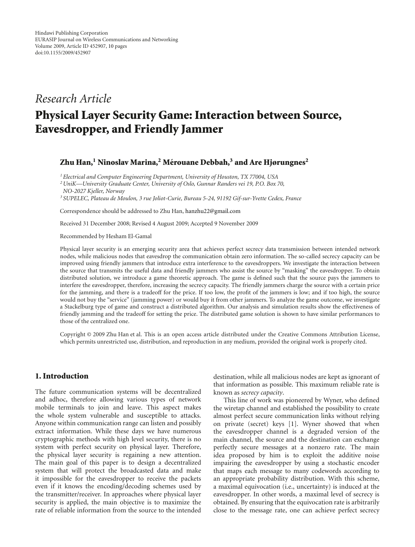## *Research Article*

# **Physical Layer Security Game: Interaction between Source, Eavesdropper, and Friendly Jammer**

#### **Zhu Han,1 Ninoslav Marina,2 Merouane Debbah, ´ <sup>3</sup> and Are Hjørungnes2**

*1Electrical and Computer Engineering Department, University of Houston, TX 77004, USA*

*2UniK—University Graduate Center, University of Oslo, Gunnar Randers vei 19, P.O. Box 70, NO-2027 Kjeller, Norway*

*<sup>3</sup> SUPELEC, Plateau de Moulon, 3 rue Joliot-Curie, Bureau 5-24, 91192 Gif-sur-Yvette Cedex, France*

Correspondence should be addressed to Zhu Han, hanzhu22@gmail.com

Received 31 December 2008; Revised 4 August 2009; Accepted 9 November 2009

Recommended by Hesham El-Gamal

Physical layer security is an emerging security area that achieves perfect secrecy data transmission between intended network nodes, while malicious nodes that eavesdrop the communication obtain zero information. The so-called secrecy capacity can be improved using friendly jammers that introduce extra interference to the eavesdroppers. We investigate the interaction between the source that transmits the useful data and friendly jammers who assist the source by "masking" the eavesdropper. To obtain distributed solution, we introduce a game theoretic approach. The game is defined such that the source pays the jammers to interfere the eavesdropper, therefore, increasing the secrecy capacity. The friendly jammers charge the source with a certain price for the jamming, and there is a tradeoff for the price. If too low, the profit of the jammers is low; and if too high, the source would not buy the "service" (jamming power) or would buy it from other jammers. To analyze the game outcome, we investigate a Stackelburg type of game and construct a distributed algorithm. Our analysis and simulation results show the effectiveness of friendly jamming and the tradeoff for setting the price. The distributed game solution is shown to have similar performances to those of the centralized one.

Copyright © 2009 Zhu Han et al. This is an open access article distributed under the Creative Commons Attribution License, which permits unrestricted use, distribution, and reproduction in any medium, provided the original work is properly cited.

### **1. Introduction**

The future communication systems will be decentralized and adhoc, therefore allowing various types of network mobile terminals to join and leave. This aspect makes the whole system vulnerable and susceptible to attacks. Anyone within communication range can listen and possibly extract information. While these days we have numerous cryptographic methods with high level security, there is no system with perfect security on physical layer. Therefore, the physical layer security is regaining a new attention. The main goal of this paper is to design a decentralized system that will protect the broadcasted data and make it impossible for the eavesdropper to receive the packets even if it knows the encoding/decoding schemes used by the transmitter/receiver. In approaches where physical layer security is applied, the main objective is to maximize the rate of reliable information from the source to the intended

destination, while all malicious nodes are kept as ignorant of that information as possible. This maximum reliable rate is known as *secrecy capacity*.

This line of work was pioneered by Wyner, who defined the wiretap channel and established the possibility to create almost perfect secure communication links without relying on private (secret) keys [1]. Wyner showed that when the eavesdropper channel is a degraded version of the main channel, the source and the destination can exchange perfectly secure messages at a nonzero rate. The main idea proposed by him is to exploit the additive noise impairing the eavesdropper by using a stochastic encoder that maps each message to many codewords according to an appropriate probability distribution. With this scheme, a maximal equivocation (i.e., uncertainty) is induced at the eavesdropper. In other words, a maximal level of secrecy is obtained. By ensuring that the equivocation rate is arbitrarily close to the message rate, one can achieve perfect secrecy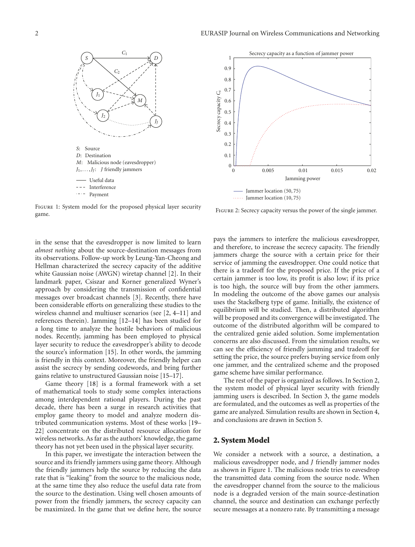

Figure 1: System model for the proposed physical layer security game.

in the sense that the eavesdropper is now limited to learn *almost nothing* about the source-destination messages from its observations. Follow-up work by Leung-Yan-Cheong and Hellman characterized the secrecy capacity of the additive white Gaussian noise (AWGN) wiretap channel [2]. In their landmark paper, Csiszar and Korner generalized Wyner's approach by considering the transmission of confidential messages over broadcast channels [3]. Recently, there have been considerable efforts on generalizing these studies to the wireless channel and multiuser scenarios (see [2, 4–11] and references therein). Jamming [12–14] has been studied for a long time to analyze the hostile behaviors of malicious nodes. Recently, jamming has been employed to physical layer security to reduce the eavesdropper's ability to decode the source's information [15]. In other words, the jamming is friendly in this context. Moreover, the friendly helper can assist the secrecy by sending codewords, and bring further gains relative to unstructured Gaussian noise [15–17].

Game theory [18] is a formal framework with a set of mathematical tools to study some complex interactions among interdependent rational players. During the past decade, there has been a surge in research activities that employ game theory to model and analyze modern distributed communication systems. Most of these works [19– 22] concentrate on the distributed resource allocation for wireless networks. As far as the authors' knowledge, the game theory has not yet been used in the physical layer security.

In this paper, we investigate the interaction between the source and its friendly jammers using game theory. Although the friendly jammers help the source by reducing the data rate that is "leaking" from the source to the malicious node, at the same time they also reduce the useful data rate from the source to the destination. Using well chosen amounts of power from the friendly jammers, the secrecy capacity can be maximized. In the game that we define here, the source



FIGURE 2: Secrecy capacity versus the power of the single jammer.

pays the jammers to interfere the malicious eavesdropper, and therefore, to increase the secrecy capacity. The friendly jammers charge the source with a certain price for their service of jamming the eavesdropper. One could notice that there is a tradeoff for the proposed price. If the price of a certain jammer is too low, its profit is also low; if its price is too high, the source will buy from the other jammers. In modeling the outcome of the above games our analysis uses the Stackelberg type of game. Initially, the existence of equilibrium will be studied. Then, a distributed algorithm will be proposed and its convergence will be investigated. The outcome of the distributed algorithm will be compared to the centralized genie aided solution. Some implementation concerns are also discussed. From the simulation results, we can see the efficiency of friendly jamming and tradeoff for setting the price, the source prefers buying service from only one jammer, and the centralized scheme and the proposed game scheme have similar performance.

The rest of the paper is organized as follows. In Section 2, the system model of physical layer security with friendly jamming users is described. In Section 3, the game models are formulated, and the outcomes as well as properties of the game are analyzed. Simulation results are shown in Section 4, and conclusions are drawn in Section 5.

#### **2. System Model**

We consider a network with a source, a destination, a malicious eavesdropper node, and *J* friendly jammer nodes as shown in Figure 1. The malicious node tries to eavesdrop the transmitted data coming from the source node. When the eavesdropper channel from the source to the malicious node is a degraded version of the main source-destination channel, the source and destination can exchange perfectly secure messages at a nonzero rate. By transmitting a message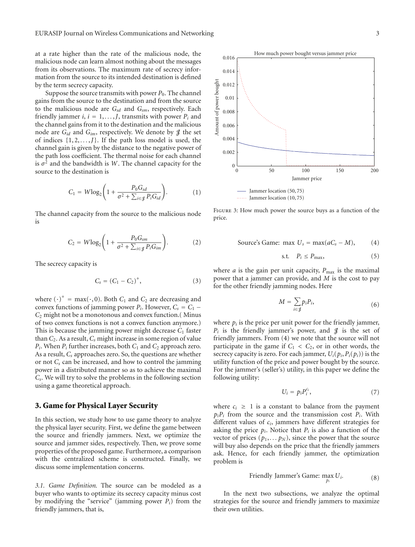at a rate higher than the rate of the malicious node, the malicious node can learn almost nothing about the messages from its observations. The maximum rate of secrecy information from the source to its intended destination is defined by the term secrecy capacity.

Suppose the source transmits with power  $P_0$ . The channel gains from the source to the destination and from the source to the malicious node are *Gsd* and *Gsm*, respectively. Each friendly jammer *i*,  $i = 1, \ldots, J$ , transmits with power  $P_i$  and the channel gains from it to the destination and the malicious node are  $G_{id}$  and  $G_{im}$ , respectively. We denote by  $\mathcal{J}$  the set of indices  $\{1, 2, \ldots, J\}$ . If the path loss model is used, the channel gain is given by the distance to the negative power of the path loss coefficient. The thermal noise for each channel is  $\sigma^2$  and the bandwidth is *W*. The channel capacity for the source to the destination is

$$
C_1 = W \log_2 \left( 1 + \frac{P_0 G_{sd}}{\sigma^2 + \sum_{i \in \mathcal{J}} P_i G_{id}} \right). \tag{1}
$$

The channel capacity from the source to the malicious node is

$$
C_2 = W \log_2 \left( 1 + \frac{P_0 G_{sm}}{\sigma^2 + \sum_{i \in \mathcal{J}} P_i G_{im}} \right). \tag{2}
$$

The secrecy capacity is

$$
C_s = (C_1 - C_2)^+, \tag{3}
$$

where  $(\cdot)^+$  = max $(\cdot, 0)$ . Both  $C_1$  and  $C_2$  are decreasing and convex functions of jamming power  $P_i$ . However,  $C_s = C_1$  − *C*<sup>2</sup> might not be a monotonous and convex function.( Minus of two convex functions is not a convex function anymore.) This is because the jamming power might decrease *C*<sup>1</sup> faster than *C*2. As a result, *Cs* might increase in some region of value  $P_i$ . When  $P_i$  further increases, both  $C_1$  and  $C_2$  approach zero. As a result, *Cs* approaches zero. So, the questions are whether or not *Cs* can be increased, and how to control the jamming power in a distributed manner so as to achieve the maximal *Cs*. We will try to solve the problems in the following section using a game theoretical approach.

#### **3. Game for Physical Layer Security**

In this section, we study how to use game theory to analyze the physical layer security. First, we define the game between the source and friendly jammers. Next, we optimize the source and jammer sides, respectively. Then, we prove some properties of the proposed game. Furthermore, a comparison with the centralized scheme is constructed. Finally, we discuss some implementation concerns.

*3.1. Game Definition.* The source can be modeled as a buyer who wants to optimize its secrecy capacity minus cost by modifying the "service" (jamming power *Pi*) from the friendly jammers, that is,



Figure 3: How much power the source buys as a function of the price.

Source's Game: max 
$$
U_s = \max(aC_s - M)
$$
, (4)

$$
s.t. \quad P_i \le P_{\text{max}}, \tag{5}
$$

where  $a$  is the gain per unit capacity,  $P_{\text{max}}$  is the maximal power that a jammer can provide, and *M* is the cost to pay for the other friendly jamming nodes. Here

$$
M = \sum_{i \in \mathcal{J}} p_i P_i, \tag{6}
$$

where  $p_i$  is the price per unit power for the friendly jammer,  $P_i$  is the friendly jammer's power, and  $\mathcal{J}$  is the set of friendly jammers. From (4) we note that the source will not participate in the game if  $C_1 < C_2$ , or in other words, the secrecy capacity is zero. For each jammer,  $U_i(p_i, P_i(p_i))$  is the utility function of the price and power bought by the source. For the jammer's (seller's) utility, in this paper we define the following utility:

$$
U_i = p_i P_i^{c_i},\tag{7}
$$

where  $c_i \geq 1$  is a constant to balance from the payment  $p_i P_i$  from the source and the transmission cost  $P_i$ . With different values of *ci*, jammers have different strategies for asking the price  $p_i$ . Notice that  $P_i$  is also a function of the vector of prices  $(p_1, \ldots, p_N)$ , since the power that the source will buy also depends on the price that the friendly jammers ask. Hence, for each friendly jammer, the optimization problem is

Finally, Jammer's Game: 
$$
\max_{p_i} U_i
$$
.

\n(8)

In the next two subsections, we analyze the optimal strategies for the source and friendly jammers to maximize their own utilities.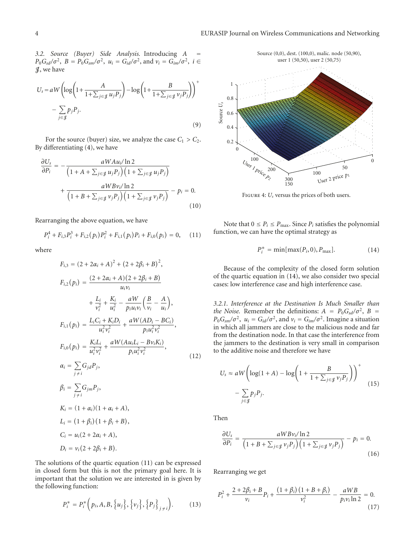*3.2. Source (Buyer) Side Analysis.* Introducing *A* =  $P_0 G_{sd} / \sigma^2$ ,  $B = P_0 G_{sm} / \sigma^2$ ,  $u_i = G_{id} / \sigma^2$ , and  $v_i = G_{im} / \sigma^2$ ,  $i \in$ J, we have

$$
U_s = aW \left( \log \left( 1 + \frac{A}{1 + \sum_{j \in \mathcal{J}} u_j P_j} \right) - \log \left( 1 + \frac{B}{1 + \sum_{j \in \mathcal{J}} v_j P_j} \right) \right)^+ - \sum_{j \in \mathcal{J}} p_j P_j.
$$
\n(9)

For the source (buyer) size, we analyze the case  $C_1 > C_2$ . By differentiating (4), we have

$$
\frac{\partial U_s}{\partial P_i} = -\frac{aW A u_i / \ln 2}{\left(1 + A + \sum_{j \in \mathcal{J}} u_j P_j\right) \left(1 + \sum_{j \in \mathcal{J}} u_j P_j\right)} + \frac{aW B v_i / \ln 2}{\left(1 + B + \sum_{j \in \mathcal{J}} v_j P_j\right) \left(1 + \sum_{j \in \mathcal{J}} v_j P_j\right)} - p_i = 0.
$$
\n(10)

Rearranging the above equation, we have

$$
P_i^4 + F_{i,3}P_i^3 + F_{i,2}(p_i)P_i^2 + F_{i,1}(p_i)P_i + F_{i,0}(p_i) = 0, \quad (11)
$$

where

$$
F_{i,3} = (2 + 2\alpha_i + A)^2 + (2 + 2\beta_i + B)^2,
$$
  
\n
$$
F_{i,2}(p_i) = \frac{(2 + 2\alpha_i + A)(2 + 2\beta_i + B)}{u_i v_i} + \frac{L_i}{v_i^2} + \frac{K_i}{u_i^2} - \frac{aW}{p_i u_i v_i} \left(\frac{B}{v_i} - \frac{A}{u_i}\right),
$$
  
\n
$$
F_{i,1}(p_i) = \frac{L_i C_i + K_i D_i}{u_i^2 v_i^2} + \frac{aW(AD_i - BC_i)}{p_i u_i^2 v_i^2},
$$
  
\n
$$
F_{i,0}(p_i) = \frac{K_i L_i}{u_i^2 v_i^2} + \frac{aW(Au_i L_i - Bv_i K_i)}{p_i u_i^2 v_i^2},
$$
  
\n
$$
\alpha_i = \sum_{j \neq i} G_{j d} P_j,
$$
  
\n
$$
\beta_i = \sum_{j \neq i} G_{j m} P_j,
$$
  
\n
$$
K_i = (1 + \alpha_i)(1 + \alpha_i + A),
$$
  
\n
$$
L_i = (1 + \beta_i)(1 + \beta_i + B),
$$
  
\n
$$
C_i = u_i (2 + 2\alpha_i + A),
$$
  
\n
$$
D_i = v_i (2 + 2\beta_i + B).
$$

The solutions of the quartic equation (11) can be expressed in closed form but this is not the primary goal here. It is important that the solution we are interested in is given by the following function:

$$
P_i^* = P_i^* \left( p_i, A, B, \{u_j\}, \{v_j\}, \{P_j\}_{j \neq i} \right). \tag{13}
$$



FIGURE 4: *U<sub>s</sub>* versus the prices of both users.

Note that  $0 \le P_i \le P_{\text{max}}$ . Since  $P_i$  satisfies the polynomial function, we can have the optimal strategy as

$$
P_i^* = \min[\max(P_i, 0), P_{\max}]. \tag{14}
$$

Because of the complexity of the closed form solution of the quartic equation in (14), we also consider two special cases: low interference case and high interference case.

*3.2.1. Interference at the Destination Is Much Smaller than the Noise.* Remember the definitions:  $A = P_0 G_{sd} / \sigma^2$ ,  $B =$  $P_0 G_{\text{sm}}/\sigma^2$ ,  $u_i = G_{id}/\sigma^2$ , and  $v_i = G_{im}/\sigma^2$ . Imagine a situation in which all jammers are close to the malicious node and far from the destination node. In that case the interference from the jammers to the destination is very small in comparison to the additive noise and therefore we have

$$
U_s \approx aW \left( \log(1+A) - \log\left(1+\frac{B}{1+\sum_{j\in\mathcal{J}} v_j P_j}\right) \right)^+ - \sum_{j\in\mathcal{J}} p_j P_j.
$$
\n(15)

Then

$$
\frac{\partial U_s}{\partial P_i} = \frac{aWBv_i/\ln 2}{\left(1 + B + \sum_{j \in \mathcal{J}} v_j P_j\right)\left(1 + \sum_{j \in \mathcal{J}} v_j P_j\right)} - p_i = 0.
$$
\n(16)

Rearranging we get

$$
P_i^2 + \frac{2 + 2\beta_i + B}{\nu_i} P_i + \frac{(1 + \beta_i)(1 + B + \beta_i)}{\nu_i^2} - \frac{aWB}{p_i \nu_i \ln 2} = 0.
$$
\n(17)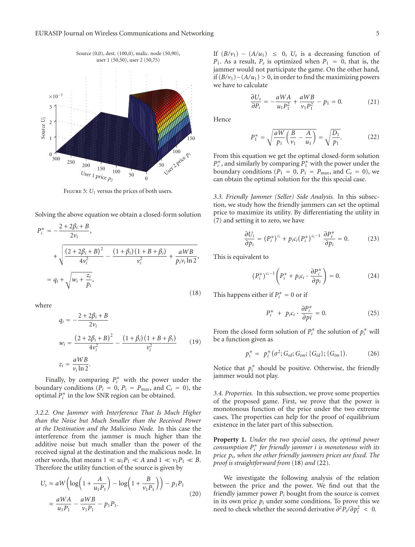

FIGURE 5:  $U_1$  versus the prices of both users.

Solving the above equation we obtain a closed-form solution

$$
P_i^* = -\frac{2 + 2\beta_i + B}{2v_i},
$$
  
+ 
$$
\sqrt{\frac{(2 + 2\beta_i + B)^2}{4v_i^2} - \frac{(1 + \beta_i)(1 + B + \beta_i)}{v_i^2} + \frac{aWB}{p_i v_i \ln 2}},
$$
  
=  $q_i + \sqrt{w_i + \frac{z_i}{p_i}},$  (18)

where

$$
q_i = -\frac{2 + 2\beta_i + B}{2v_i}
$$
  
\n
$$
w_i = \frac{(2 + 2\beta_i + B)^2}{4v_i^2} - \frac{(1 + \beta_i)(1 + B + \beta_i)}{v_i^2}
$$
 (19)  
\n
$$
z_i = \frac{aWB}{v_i \ln 2}.
$$

Finally, by comparing  $P_i^*$  with the power under the boundary conditions ( $P_i = 0$ ,  $P_i = P_{\text{max}}$ , and  $C_s = 0$ ), the optimal *P*<sup>∗</sup> *<sup>i</sup>* in the low SNR region can be obtained.

*3.2.2. One Jammer with Interference That Is Much Higher than the Noise but Much Smaller than the Received Power at the Destination and the Malicious Node.* In this case the interference from the jammer is much higher than the additive noise but much smaller than the power of the received signal at the destination and the malicious node. In other words, that means  $1 \ll u_1 P_1 \ll A$  and  $1 \ll v_1 P_1 \ll B$ . Therefore the utility function of the source is given by

$$
U_s \approx aW \left( \log \left( 1 + \frac{A}{u_1 P_1} \right) - \log \left( 1 + \frac{B}{v_1 P_1} \right) \right) - p_1 P_1
$$
  

$$
\approx \frac{aWA}{u_1 P_1} - \frac{aWB}{v_1 P_1} - p_1 P_1.
$$
 (20)

If  $(B/v_1) - (A/u_1) \leq 0$ ,  $U_s$  is a decreasing function of  $P_1$ . As a result,  $P_s$  is optimized when  $P_1 = 0$ , that is, the jammer would not participate the game. On the other hand, if (*B/v*1)−(*A/u*1) *>* 0, in order to find the maximizing powers we have to calculate

$$
\frac{\partial U_s}{\partial P_i} = -\frac{aWA}{u_1 P_1^2} + \frac{aWB}{v_1 P_1^2} - p_1 = 0.
$$
 (21)

Hence

$$
P_1^* = \sqrt{\frac{aW}{p_1} \left(\frac{B}{\nu_1} - \frac{A}{u_1}\right)} = \sqrt{\frac{D_1}{p_1}}.
$$
 (22)

From this equation we get the optimal closed-form solution  $P_i^*$ , and similarly by comparing  $P_1^*$  with the power under the boundary conditions ( $P_1 = 0$ ,  $P_1 = P_{\text{max}}$ , and  $C_s = 0$ ), we can obtain the optimal solution for the this special case.

*3.3. Friendly Jammer (Seller) Side Analysis.* In this subsection, we study how the friendly jammers can set the optimal price to maximize its utility. By differentiating the utility in (7) and setting it to zero, we have

$$
\frac{\partial U_i}{\partial p_i} = (P_i^*)^{c_i} + p_i c_i (P_i^*)^{c_i - 1} \frac{\partial P_i^*}{\partial p_i} = 0.
$$
 (23)

This is equivalent to

$$
\left(P_i^*\right)^{c_i-1}\left(P_i^* + p_ic_i \cdot \frac{\partial P_i^*}{\partial p_i}\right) = 0.
$$
 (24)

This happens either if  $P_i^* = 0$  or if

$$
P_i^* + p_i c_i \cdot \frac{\partial P_i^*}{\partial p i} = 0.
$$
 (25)

From the closed form solution of  $P_i^*$  the solution of  $p_i^*$  will be a function given as

$$
p_i^* = p_i^* (\sigma^2; G_{sd}; G_{sm}; \{G_{id}\}; \{G_{im}\}). \tag{26}
$$

Notice that  $p_i^*$  should be positive. Otherwise, the friendly jammer would not play.

*3.4. Properties.* In this subsection, we prove some properties of the proposed game. First, we prove that the power is monotonous function of the price under the two extreme cases. The properties can help for the proof of equilibrium existence in the later part of this subsection.

**Property 1.** *Under the two special cases, the optimal power consumption P*<sup>∗</sup> *<sup>i</sup> for friendly jammer i is monotonous with its price pi, when the other friendly jammers prices are fixed. The proof is straightforward from* (18) *and* (22)*.*

We investigate the following analysis of the relation between the price and the power. We find out that the friendly jammer power  $P_i$  bought from the source is convex in its own price  $p_i$  under some conditions. To prove this we need to check whether the second derivative  $\frac{\partial^2 P_i}{\partial p_i^2}$  < 0.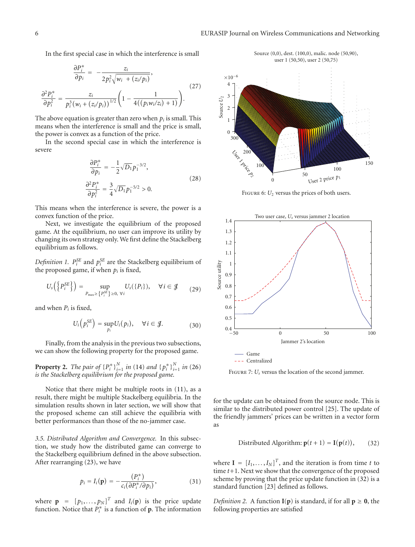In the first special case in which the interference is small

$$
\frac{\partial P_i^*}{\partial p_i} = -\frac{z_i}{2p_i^2 \sqrt{w_i + (z_i/p_i)}},\tag{27}
$$

$$
\frac{\partial^2 P_i^*}{\partial p_i^2} = \frac{z_i}{p_i^3 (w_i + (z_i/p_i))^{1/2}} \left(1 - \frac{1}{4((p_i w_i/z_i) + 1)}\right).
$$

The above equation is greater than zero when  $p_i$  is small. This means when the interference is small and the price is small, the power is convex as a function of the price.

In the second special case in which the interference is severe

$$
\frac{\partial P_i^*}{\partial p_i} = -\frac{1}{2} \sqrt{D_1} p_1^{-3/2},
$$
  

$$
\frac{\partial^2 P_i^*}{\partial p_i^2} = \frac{3}{4} \sqrt{D_1} p_1^{-5/2} > 0.
$$
 (28)

This means when the interference is severe, the power is a convex function of the price.

Next, we investigate the equilibrium of the proposed game. At the equilibrium, no user can improve its utility by changing its own strategy only. We first define the Stackelberg equilibrium as follows.

*Definition 1.*  $P_i^{SE}$  and  $p_i^{SE}$  are the Stackelberg equilibrium of the proposed game, if when  $p_i$  is fixed,

$$
U_s\left(\left\{P_i^{SE}\right\}\right) = \sup_{P_{\text{max}} \ge \left\{P_i^{SE}\right\} \ge 0, \ \forall i} U_s(\left\{P_i\right\}), \quad \forall i \in \mathcal{J} \tag{29}
$$

and when  $P_i$  is fixed,

$$
U_i\left(p_i^{SE}\right) = \sup_{p_i} U_i(p_i), \quad \forall i \in \mathcal{J}.
$$
 (30)

Finally, from the analysis in the previous two subsections, we can show the following property for the proposed game.

**Property 2.** *The pair of*  ${P_i^*}^N_{i=1}^N$  *in* (14) *and*  ${p_i^*}^N_{i=1}^N$  *in* (26) *is the Stackelberg equilibrium for the proposed game.*

Notice that there might be multiple roots in (11), as a result, there might be multiple Stackelberg equilibria. In the simulation results shown in later section, we will show that the proposed scheme can still achieve the equilibria with better performances than those of the no-jammer case.

*3.5. Distributed Algorithm and Convergence.* In this subsection, we study how the distributed game can converge to the Stackelberg equilibrium defined in the above subsection. After rearranging (23), we have

$$
p_i = I_i(\mathbf{p}) = -\frac{(P_i^*)}{c_i(\partial P_i^* / \partial p_i)},\tag{31}
$$

where  $\mathbf{p} = [p_1, \dots, p_N]^T$  and  $I_i(\mathbf{p})$  is the price update function. Notice that  $P_i^*$  is a function of **p**. The information

Source (0,0), dest. (100,0), malic. node (50,90), user 1 (50,50), user 2 (50,75)



FIGURE 6:  $U_2$  versus the prices of both users.



FIGURE 7: *U<sub>s</sub>* versus the location of the second jammer.

for the update can be obtained from the source node. This is similar to the distributed power control [25]. The update of the friendly jammers' prices can be written in a vector form as

Distributed Algorithm: 
$$
\mathbf{p}(t+1) = \mathbf{I}(\mathbf{p}(t)),
$$
 (32)

where  $I = [I_1, \ldots, I_N]^T$ , and the iteration is from time *t* to time *t*+1. Next we show that the convergence of the proposed scheme by proving that the price update function in (32) is a standard function [23] defined as follows.

*Definition 2.* A function  $I(p)$  is standard, if for all  $p \ge 0$ , the following properties are satisfied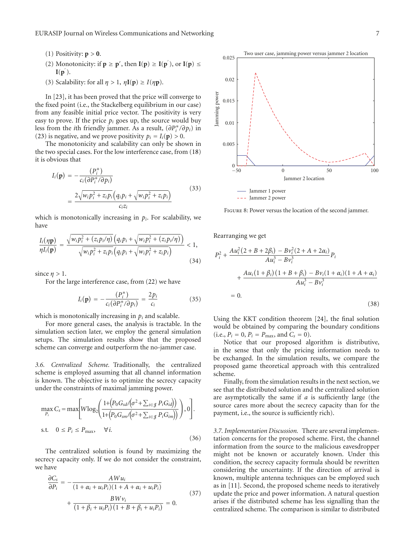- (1) Positivity:  $p > 0$ .
- (2) Monotonicity: if  $\mathbf{p} \geq \mathbf{p}'$ , then  $\mathbf{I}(\mathbf{p}) \geq \mathbf{I}(\mathbf{p}')$ , or  $\mathbf{I}(\mathbf{p}) \leq$  $I(p^{'})$ .
- (3) Scalability: for all  $\eta > 1$ ,  $\eta I(p) \ge I(\eta p)$ .

In [23], it has been proved that the price will converge to the fixed point (i.e., the Stackelberg equilibrium in our case) from any feasible initial price vector. The positivity is very easy to prove. If the price  $p_i$  goes up, the source would buy less from the *i*th friendly jammer. As a result, (*∂P*<sup>∗</sup> *<sup>i</sup> /∂pi*) in (23) is negative, and we prove positivity  $p_i = I_i(\mathbf{p}) > 0$ .

The monotonicity and scalability can only be shown in the two special cases. For the low interference case, from (18) it is obvious that

$$
I_i(\mathbf{p}) = -\frac{(P_i^*)}{c_i(\partial P_i^* / \partial p_i)}
$$
  
= 
$$
\frac{2\sqrt{w_i p_i^2 + z_i p_i (q_i p_i + \sqrt{w_i p_i^2 + z_i p_i})}}{c_i z_i}
$$
 (33)

which is monotonically increasing in  $p_i$ . For scalability, we have

$$
\frac{I_i(\eta \mathbf{p})}{\eta I_i(\mathbf{p})} = \frac{\sqrt{w_i p_i^2 + (z_i p_i/\eta)} \left( q_i p_i + \sqrt{w_i p_i^2 + (z_i p_i/\eta)} \right)}{\sqrt{w_i p_i^2 + z_i p_i} \left( q_i p_i + \sqrt{w_i p_i^2 + z_i p_i} \right)} < 1,
$$
\n(34)

since  $\eta > 1$ .

For the large interference case, from (22) we have

$$
I_i(\mathbf{p}) = -\frac{(P_i^*)}{c_i(\partial P_i^*/\partial p_i)} = \frac{2p_i}{c_i} \tag{35}
$$

which is monotonically increasing in  $p_i$  and scalable.

For more general cases, the analysis is tractable. In the simulation section later, we employ the general simulation setups. The simulation results show that the proposed scheme can converge and outperform the no-jammer case.

*3.6. Centralized Scheme.* Traditionally, the centralized scheme is employed assuming that all channel information is known. The objective is to optimize the secrecy capacity under the constraints of maximal jamming power.

$$
\max_{P_i} C_s = \max \left[ W \log_2 \left( \frac{1 + \left( P_0 G_{sd} / \left( \sigma^2 + \sum_{i \in \mathcal{J}} P_i G_{id} \right) \right)}{1 + \left( P_0 G_{sm} / \left( \sigma^2 + \sum_{i \in \mathcal{J}} P_i G_{im} \right) \right)} \right), 0 \right].
$$
  
s.t.  $0 \le P_i \le P_{\text{max}}, \quad \forall i.$  (36)

The centralized solution is found by maximizing the secrecy capacity only. If we do not consider the constraint, we have

$$
\frac{\partial C_s}{\partial P_i} = -\frac{AWu_i}{(1 + \alpha_i + u_i P_i)(1 + A + \alpha_i + u_i P_i)}
$$
  
+ 
$$
\frac{BWv_i}{(1 + \beta_i + u_i P_i)(1 + B + \beta_i + u_i P_i)} = 0.
$$
 (37)



FIGURE 8: Power versus the location of the second jammer.

Rearranging we get

$$
P_i^2 + \frac{Au_i^2(2+B+2\beta_i) - Bv_i^2(2+A+2\alpha_i)}{Au_i^3 - Bv_i^3}P_i
$$
  
+ 
$$
\frac{Au_i(1+\beta_i)(1+B+\beta_i) - Bv_i(1+\alpha_i)(1+A+\alpha_i)}{Au_i^3 - Bv_i^3}
$$
  
= 0. (38)

Using the KKT condition theorem [24], the final solution would be obtained by comparing the boundary conditions  $(i.e., P_i = 0, P_i = P_{max}, and C_s = 0).$ 

Notice that our proposed algorithm is distributive, in the sense that only the pricing information needs to be exchanged. In the simulation results, we compare the proposed game theoretical approach with this centralized scheme.

Finally, from the simulation results in the next section, we see that the distributed solution and the centralized solution are asymptotically the same if *a* is sufficiently large (the source cares more about the secrecy capacity than for the payment, i.e., the source is sufficiently rich).

*3.7. Implementation Discussion.* There are several implementation concerns for the proposed scheme. First, the channel information from the source to the malicious eavesdropper might not be known or accurately known. Under this condition, the secrecy capacity formula should be rewritten considering the uncertainty. If the direction of arrival is known, multiple antenna techniques can be employed such as in [11]. Second, the proposed scheme needs to iteratively update the price and power information. A natural question arises if the distributed scheme has less signalling than the centralized scheme. The comparison is similar to distributed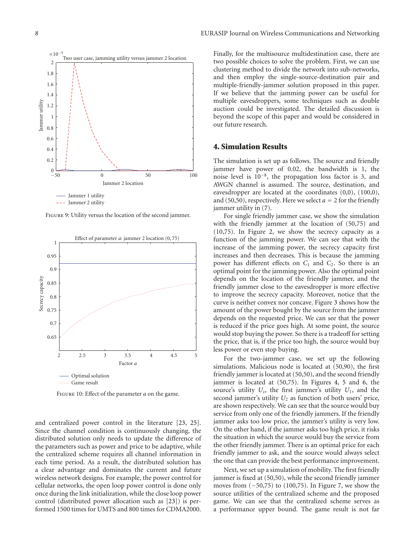

Figure 9: Utility versus the location of the second jammer.



Figure 10: Effect of the parameter *a* on the game.

and centralized power control in the literature [23, 25]. Since the channel condition is continuously changing, the distributed solution only needs to update the difference of the parameters such as power and price to be adaptive, while the centralized scheme requires all channel information in each time period. As a result, the distributed solution has a clear advantage and dominates the current and future wireless network designs. For example, the power control for cellular networks, the open loop power control is done only once during the link initialization, while the close loop power control (distributed power allocation such as [23]) is performed 1500 times for UMTS and 800 times for CDMA2000.

Finally, for the multisource multidestination case, there are two possible choices to solve the problem. First, we can use clustering method to divide the network into sub-networks, and then employ the single-source-destination pair and multiple-friendly-jammer solution proposed in this paper. If we believe that the jamming power can be useful for multiple eavesdroppers, some techniques such as double auction could be investigated. The detailed discussion is beyond the scope of this paper and would be considered in our future research.

#### **4. Simulation Results**

The simulation is set up as follows. The source and friendly jammer have power of 0.02, the bandwidth is 1, the noise level is 10−8, the propagation loss factor is 3, and AWGN channel is assumed. The source, destination, and eavesdropper are located at the coordinates (0,0), (100,0), and (50,50), respectively. Here we select  $a = 2$  for the friendly jammer utility in (7).

For single friendly jammer case, we show the simulation with the friendly jammer at the location of (50,75) and (10,75). In Figure 2, we show the secrecy capacity as a function of the jamming power. We can see that with the increase of the jamming power, the secrecy capacity first increases and then decreases. This is because the jamming power has different effects on  $C_1$  and  $C_2$ . So there is an optimal point for the jamming power. Also the optimal point depends on the location of the friendly jammer, and the friendly jammer close to the eavesdropper is more effective to improve the secrecy capacity. Moreover, notice that the curve is neither convex nor concave. Figure 3 shows how the amount of the power bought by the source from the jammer depends on the requested price. We can see that the power is reduced if the price goes high. At some point, the source would stop buying the power. So there is a tradeoff for setting the price, that is, if the price too high, the source would buy less power or even stop buying.

For the two-jammer case, we set up the following simulations. Malicious node is located at (50,90), the first friendly jammer is located at (50,50), and the second friendly jammer is located at (50,75). In Figures 4, 5 and 6, the source's utility  $U_s$ , the first jammer's utility  $U_1$ , and the second jammer's utility  $U_2$  as function of both users' price, are shown respectively. We can see that the source would buy service from only one of the friendly jammers. If the friendly jammer asks too low price, the jammer's utility is very low. On the other hand, if the jammer asks too high price, it risks the situation in which the source would buy the service from the other friendly jammer. There is an optimal price for each friendly jammer to ask, and the source would always select the one that can provide the best performance improvement.

Next, we set up a simulation of mobility. The first friendly jammer is fixed at (50,50), while the second friendly jammer moves from (−50,75) to (100,75). In Figure 7, we show the source utilities of the centralized scheme and the proposed game. We can see that the centralized scheme serves as a performance upper bound. The game result is not far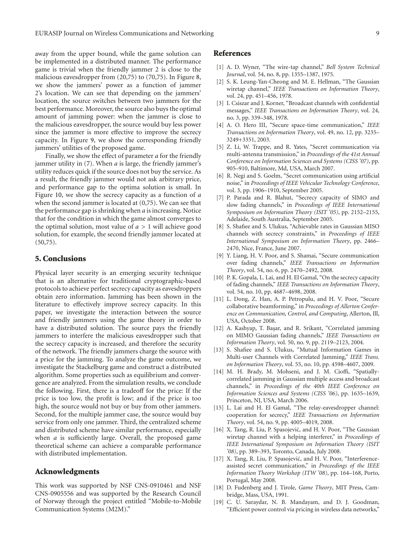away from the upper bound, while the game solution can be implemented in a distributed manner. The performance game is trivial when the friendly jammer 2 is close to the malicious eavesdropper from (20,75) to (70,75). In Figure 8, we show the jammers' power as a function of jammer 2's location. We can see that depending on the jammers' location, the source switches between two jammers for the best performance. Moreover, the source also buys the optimal amount of jamming power: when the jammer is close to the malicious eavesdropper, the source would buy less power since the jammer is more effective to improve the secrecy capacity. In Figure 9, we show the corresponding friendly jammers' utilities of the proposed game.

Finally, we show the effect of parameter *a* for the friendly jammer utility in (7). When *a* is large, the friendly jammer's utility reduces quick if the source does not buy the service. As a result, the friendly jammer would not ask arbitrary price, and performance gap to the optima solution is small. In Figure 10, we show the secrecy capacity as a function of *a* when the second jammer is located at (0,75). We can see that the performance gap is shrinking when *a* is increasing. Notice that for the condition in which the game almost converges to the optimal solution, most value of *a >* 1 will achieve good solution, for example, the second friendly jammer located at (50,75).

#### **5. Conclusions**

Physical layer security is an emerging security technique that is an alternative for traditional cryptographic-based protocols to achieve perfect secrecy capacity as eavesdroppers obtain zero information. Jamming has been shown in the literature to effectively improve secrecy capacity. In this paper, we investigate the interaction between the source and friendly jammers using the game theory in order to have a distributed solution. The source pays the friendly jammers to interfere the malicious eavesdropper such that the secrecy capacity is increased, and therefore the security of the network. The friendly jammers charge the source with a price for the jamming. To analyze the game outcome, we investigate the Stackelburg game and construct a distributed algorithm. Some properties such as equilibrium and convergence are analyzed. From the simulation results, we conclude the following. First, there is a tradeoff for the price: If the price is too low, the profit is low; and if the price is too high, the source would not buy or buy from other jammers. Second, for the multiple jammer case, the source would buy service from only one jammer. Third, the centralized scheme and distributed scheme have similar performance, especially when *a* is sufficiently large. Overall, the proposed game theoretical scheme can achieve a comparable performance with distributed implementation.

#### **Acknowledgments**

This work was supported by NSF CNS-0910461 and NSF CNS-0905556 and was supported by the Research Council of Norway through the project entitled "Mobile-to-Mobile Communication Systems (M2M)."

#### **References**

- [1] A. D. Wyner, "The wire-tap channel," *Bell System Technical Journal*, vol. 54, no. 8, pp. 1355–1387, 1975.
- [2] S. K. Leung-Yan-Cheong and M. E. Hellman, "The Gaussian wiretap channel," *IEEE Transactions on Information Theory*, vol. 24, pp. 451–456, 1978.
- [3] I. Csiszar and J. Korner, "Broadcast channels with confidential messages," *IEEE Transactions on Information Theory*, vol. 24, no. 3, pp. 339–348, 1978.
- [4] A. O. Hero III, "Secure space-time communication," *IEEE Transactions on Information Theory*, vol. 49, no. 12, pp. 3235– 3249+3351, 2003.
- [5] Z. Li, W. Trappe, and R. Yates, "Secret communication via multi-antenna transmission," in *Proceedings of the 41st Annual Conference on Information Sciences and Systems (CISS '07)*, pp. 905–910, Baltimore, Md, USA, March 2007.
- [6] R. Negi and S. Goelm, "Secret communication using artificial noise," in *Proceedings of IEEE Vehicular Technology Conference*, vol. 3, pp. 1906–1910, September 2005.
- [7] P. Parada and R. Blahut, "Secrecy capacity of SIMO and slow fading channels," in *Proceedings of IEEE International Symposium on Information Theory (ISIT '05)*, pp. 2152–2155, Adelaide, South Australia, September 2005.
- [8] S. Shafiee and S. Ulukus, "Achievable rates in Gaussian MISO channels with secrecy constraints," in *Proceedings of IEEE International Symposium on Information Theory*, pp. 2466– 2470, Nice, France, June 2007.
- [9] Y. Liang, H. V. Poor, and S. Shamai, "Secure communication over fading channels," *IEEE Transactions on Information Theory*, vol. 54, no. 6, pp. 2470–2492, 2008.
- [10] P. K. Gopala, L. Lai, and H. El Gamal, "On the secrecy capacity of fading channels," *IEEE Transactions on Information Theory*, vol. 54, no. 10, pp. 4687–4698, 2008.
- [11] L. Dong, Z. Han, A. P. Petropulu, and H. V. Poor, "Secure collaborative beamforming," in *Proceedings of Allerton Conference on Communication, Control, and Computing*, Allerton, Ill, USA, October 2008.
- [12] A. Kashyap, T. Basar, and R. Srikant, "Correlated jamming on MIMO Gaussian fading channels," *IEEE Transactions on Information Theory*, vol. 50, no. 9, pp. 2119–2123, 2004.
- [13] S. Shafiee and S. Ulukus, "Mutual Information Games in Multi-user Channels with Correlated Jamming," *IEEE Trans. on Information Theory*, vol. 55, no. 10, pp. 4598–4607, 2009.
- [14] M. H. Brady, M. Mohseni, and J. M. Cioffi, "Spatiallycorrelated jamming in Gaussian multiple access and broadcast channels," in *Proceedings of the 40th IEEE Conference on Information Sciences and Systems (CISS '06)*, pp. 1635–1639, Princeton, NJ, USA, March 2006.
- [15] L. Lai and H. El Gamal, "The relay-eavesdropper channel: cooperation for secrecy," *IEEE Transactions on Information Theory*, vol. 54, no. 9, pp. 4005–4019, 2008.
- [16] X. Tang, R. Liu, P. Spasojević, and H. V. Poor, "The Gaussian wiretap channel with a helping interferer," in *Proceedings of IEEE International Symposium on Information Theory (ISIT '08)*, pp. 389–393, Toronto, Canada, July 2008.
- [17] X. Tang, R. Liu, P. Spasojević, and H. V. Poor, "Interferenceassisted secret communication," in *Proceedings of the IEEE Information Theory Workshop (ITW '08)*, pp. 164–168, Porto, Portugal, May 2008.
- [18] D. Fudenberg and J. Tirole, *Game Theory*, MIT Press, Cambridge, Mass, USA, 1991.
- [19] C. U. Saraydar, N. B. Mandayam, and D. J. Goodman, "Efficient power control via pricing in wireless data networks,"